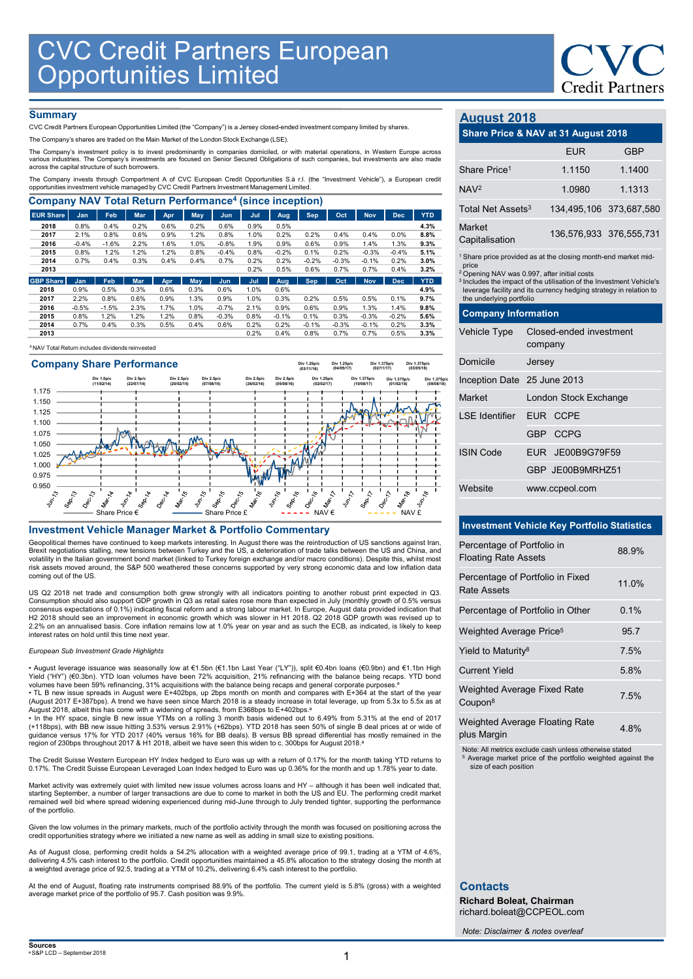## **Summary**

|                                                                                                                                                                                                                             | <b>CVC Credit Partners European<br/>Opportunities Limited</b> |                          |                          |                          |              |                          |                          |                          |                           |                           |                            |                            |                            |                               |                                                                                                                                          | <b>CVC</b>           |
|-----------------------------------------------------------------------------------------------------------------------------------------------------------------------------------------------------------------------------|---------------------------------------------------------------|--------------------------|--------------------------|--------------------------|--------------|--------------------------|--------------------------|--------------------------|---------------------------|---------------------------|----------------------------|----------------------------|----------------------------|-------------------------------|------------------------------------------------------------------------------------------------------------------------------------------|----------------------|
|                                                                                                                                                                                                                             |                                                               |                          |                          |                          |              |                          |                          |                          |                           |                           |                            |                            |                            |                               |                                                                                                                                          | <b>Credit Partne</b> |
| <b>Summary</b>                                                                                                                                                                                                              |                                                               |                          |                          |                          |              |                          |                          |                          |                           |                           |                            |                            |                            | <b>August 2018</b>            |                                                                                                                                          |                      |
| CVC Credit Partners European Opportunities Limited (the "Company") is a Jersey closed-ended investment company limited by shares.<br>The Company's shares are traded on the Main Market of the London Stock Exchange (LSE). |                                                               |                          |                          |                          |              |                          |                          |                          |                           |                           |                            |                            |                            |                               | Share Price & NAV at 31 August 2018                                                                                                      |                      |
| The Company's investment policy is to invest predominantly in companies domiciled, or with material operations, in Western Europe across                                                                                    |                                                               |                          |                          |                          |              |                          |                          |                          |                           |                           |                            |                            |                            |                               | <b>EUR</b>                                                                                                                               | <b>GBP</b>           |
| various industries. The Company's investments are focused on Senior Secured Obligations of such companies, but investments are also made<br>across the capital structure of such borrowers.                                 |                                                               |                          |                          |                          |              |                          |                          |                          |                           |                           |                            |                            |                            |                               |                                                                                                                                          |                      |
| The Company invests through Compartment A of CVC European Credit Opportunities S.à r.l. (the "Investment Vehicle"), a European credit                                                                                       |                                                               |                          |                          |                          |              |                          |                          |                          |                           |                           |                            |                            |                            | Share Price <sup>1</sup>      | 1.1150                                                                                                                                   | 1.1400               |
| opportunities investment vehicle managed by CVC Credit Partners Investment Management Limited.                                                                                                                              |                                                               |                          |                          |                          |              |                          |                          |                          |                           |                           |                            |                            |                            | NAV <sup>2</sup>              | 1.0980                                                                                                                                   | 1.1313               |
| <b>Company NAV Total Return Performance<sup>4</sup> (since inception)</b>                                                                                                                                                   |                                                               |                          |                          |                          |              |                          |                          |                          |                           |                           |                            |                            |                            | Total Net Assets <sup>3</sup> | 134,495,106 373,687,58                                                                                                                   |                      |
| <b>EUR Share</b><br>2018                                                                                                                                                                                                    | Jan<br>0.8%                                                   | Feb<br>0.4%              | <b>Mar</b><br>0.2%       | Apr<br>0.6%              | May<br>0.2%  | Jun<br>0.6%              | Jul<br>0.9%              | Aug<br>0.5%              | Sep                       | Oct                       | <b>Nov</b>                 | <b>Dec</b>                 | <b>YTD</b><br>4.3%         |                               |                                                                                                                                          |                      |
| 2017                                                                                                                                                                                                                        | 2.1%                                                          | 0.8%                     | 0.6%                     | 0.9%                     | 1.2%         | 0.8%                     | 1.0%                     | 0.2%                     | 0.2%                      | 0.4%                      | 0.4%                       | 0.0%                       | 8.8%                       | Market                        | 136,576,933 376,555,73                                                                                                                   |                      |
| 2016                                                                                                                                                                                                                        | $-0.4%$                                                       | $-1.6%$                  | 2.2%                     | 1.6%                     | 1.0%         | $-0.8%$                  | 1.9%                     | 0.9%                     | 0.6%                      | 0.9%                      | 1.4%                       | 1.3%                       | $9.3\%$                    | Capitalisation                |                                                                                                                                          |                      |
| 2015<br>2014                                                                                                                                                                                                                | 0.8%<br>0.7%                                                  | 1.2%<br>0.4%             | 1.2%<br>0.3%             | 1.2%<br>0.4%             | 0.8%<br>0.4% | $-0.4%$<br>0.7%          | 0.8%<br>0.2%             | $-0.2%$<br>0.2%          | 0.1%<br>$-0.2%$           | 0.2%<br>$-0.3%$           | $-0.3%$<br>$-0.1%$         | $-0.4%$<br>0.2%            | 5.1%<br>3.0%               |                               | <sup>1</sup> Share price provided as at the closing month-end market mid                                                                 |                      |
| 2013                                                                                                                                                                                                                        |                                                               |                          |                          |                          |              |                          | 0.2%                     | 0.5%                     | 0.6%                      | 0.7%                      | 0.7%                       | 0.4%                       | 3.2%                       | price                         |                                                                                                                                          |                      |
| <b>GBP Share</b>                                                                                                                                                                                                            | Jan                                                           | Feb                      | Mar                      | Apr                      | May          | Jun                      | Jul                      | Aug                      | <b>Sep</b>                | Oct                       | <b>Nov</b>                 | <b>Dec</b>                 | <b>YTD</b>                 |                               | <sup>2</sup> Opening NAV was 0.997, after initial costs<br><sup>3</sup> Includes the impact of the utilisation of the Investment Vehicle |                      |
| 2018                                                                                                                                                                                                                        | 0.9%                                                          | 0.5%                     | 0.3%                     | 0.6%                     | 0.3%         | 0.6%                     | 1.0%                     | 0.6%                     |                           |                           |                            |                            | 4.9%                       |                               | leverage facility and its currency hedging strategy in relation t                                                                        |                      |
| 2017                                                                                                                                                                                                                        | 2.2%                                                          | 0.8%                     | 0.6%                     | 0.9%                     | 1.3%         | 0.9%                     | 1.0%                     | 0.3%                     | 0.2%                      | 0.5%                      | 0.5%                       | 0.1%                       | 9.7%                       | the underlying portfolio      |                                                                                                                                          |                      |
| 2016<br>2015                                                                                                                                                                                                                | $-0.5%$<br>0.8%                                               | $-1.5%$<br>1.2%          | 2.3%<br>1.2%             | 1.7%<br>1.2%             | 1.0%<br>0.8% | $-0.7%$<br>$-0.3%$       | 2.1%<br>0.8%             | 0.9%<br>$-0.1%$          | 0.6%<br>0.1%              | 0.9%<br>0.3%              | 1.3%<br>$-0.3%$            | 1.4%<br>$-0.2%$            | 9.8%<br>5.6%               | <b>Company Information</b>    |                                                                                                                                          |                      |
| 2014                                                                                                                                                                                                                        | 0.7%                                                          | 0.4%                     | 0.3%                     | 0.5%                     | 0.4%         | 0.6%                     | 0.2%                     | 0.2%                     | $-0.1%$                   | $-0.3%$                   | $-0.1%$                    | 0.2%                       | 3.3%                       |                               |                                                                                                                                          |                      |
| 2013<br><sup>4</sup> NAV Total Return includes dividends reinvested                                                                                                                                                         |                                                               |                          |                          |                          |              |                          | 0.2%                     | 0.4%                     | 0.8%                      | 0.7%                      | 0.7%                       | 0.5%                       | 3.3%                       | Vehicle Type                  | Closed-ended investment<br>company                                                                                                       |                      |
|                                                                                                                                                                                                                             | <b>Company Share Performance</b>                              |                          |                          |                          |              |                          |                          |                          | Div 1.25p/c<br>(03/11/16) | Div 1.25p/c<br>(04/05/17) |                            | Div 1.375p/c<br>(02/11/17) | Div 1.375p/c<br>(03/05/18) | Domicile                      | Jersey                                                                                                                                   |                      |
|                                                                                                                                                                                                                             |                                                               | Div 1.0p/c<br>(11/02/14) | Div 2.5p/c<br>(22/07/14) | Div 2.5p/c<br>(20/02/15) |              | Div 2.5p/c<br>(07/08/15) | Div 2.5p/c<br>(26/02/16) | Div 2.5p/c<br>(05/08/16) | Div 1.25p/c<br>(02/02/17) |                           | Div 1.375p/c<br>(10/08/17) | Div 1.375n/c<br>(01/02/18) | Div 1.375n/c<br>(09/08/18) | Inception Date                | 25 June 2013                                                                                                                             |                      |
| 1.175                                                                                                                                                                                                                       |                                                               |                          |                          |                          |              |                          |                          |                          |                           |                           |                            |                            |                            | Market                        | London Stock Exchange                                                                                                                    |                      |
| 1.150                                                                                                                                                                                                                       |                                                               |                          |                          |                          |              |                          |                          |                          |                           |                           |                            |                            |                            |                               |                                                                                                                                          |                      |
| 1.125<br>1.100                                                                                                                                                                                                              |                                                               |                          |                          |                          |              |                          |                          |                          |                           |                           |                            |                            |                            | <b>LSE</b> Identifier         | EUR CCPE                                                                                                                                 |                      |
| 1.075                                                                                                                                                                                                                       |                                                               |                          | $\mathbb{M}$             |                          |              |                          |                          |                          |                           |                           |                            |                            |                            |                               |                                                                                                                                          |                      |
|                                                                                                                                                                                                                             |                                                               |                          |                          |                          | 48 A         |                          |                          |                          |                           |                           |                            |                            |                            |                               | GBP CCPG                                                                                                                                 |                      |

## <sup>4</sup>NAV Total Return includes dividends reinvested



Geopolitical themes have continued to keep markets interesting. In August there was the reintroduction of US sanctions against Iran, Brexit negotiations stalling, new tensions between Turkey and the US, a deterioration of trade talks between the US and China, and<br>volatility in the Italian government bond market (linked to Turkey foreign exchange and/or risk assets moved around, the S&P 500 weathered these concerns supported by very strong economic data and low inflation data coming out of the US.

US Q2 2018 net trade and consumption both grew strongly with all indicators pointing to another robust print expected in Q3.<br>Consumption should also support GDP growth in Q3 as retail sales rose more than expected in July consensus expectations of 0.1%) indicating fiscal reform and a strong labour market. In Europe, August data provided indication that H2 2018 should see an improvement in economic growth which was slower in H1 2018. Q2 2018 GDP growth was revised up to<br>2.2% on an annualised basis. Core inflation remains low at 1.0% year on year and as such the ECB, as in interest rates on hold until this time next year.

## European Sub Investment Grade Highlights

• August leverage issuance was seasonally low at €1.5bn (€1.1bn Last Year ("LY")), split €0.4bn loans (€0.9bn) and €1.1bn High Yield ("HY") (€0.3bn). YTD loan volumes have been 72% acquisition, 21% refinancing with the balance being recaps. YTD bond volumes have been 59% refinancing, 31% acquisitions with the balance being recaps and general corporate purposes.<sup>4</sup>

• TL B new issue spreads in August were E+402bps, up 2bps month on month and compares with E+364 at the start of the year (August 2017 E+387bps). A trend we have seen since March 2018 is a steady increase in total leverage, up from 5.3x to 5.5x as at .<br>• In the HY space, single B new issue YTMs on a rolling 3 month basis widened out to 6.49% from 5.31% at the end of 2017<br>• In the HY space, single B new issue YTMs on a rolling 3 month basis widened out to 6.49% from 5.

(+118bps), with BB new issue hitting 3.53% versus 2.91% (+62bps). YTD 2018 has seen 50% of single B deal prices at or wide of<br>guidance versus 17% for YTD 2017 (40% versus 16% for BB deals). B versus BB spread differential region of 230bps throughout 2017 & H1 2018, albeit we have seen this widen to c. 300bps for August 2018.

The Credit Suisse Western European HY Index hedged to Euro was up with a return of 0.17% for the month taking YTD returns to 0.17%. The Credit Suisse European Leveraged Loan Index hedged to Euro was up 0.36% for the month and up 1.78% year to date.

Market activity was extremely quiet with limited new issue volumes across loans and HY – although it has been well indicated that,<br>starting September, a number of larger transactions are due to come to market in both the U remained well bid where spread widening experienced during mid-June through to July trended tighter, supporting the performance of the portfolio.

Given the low volumes in the primary markets, much of the portfolio activity through the month was focused on positioning across the credit opportunities strategy where we initiated a new name as well as adding in small size to existing position<br>...

As of August close, performing credit holds a 54.2% allocation with a weighted average price of 99.1, trading at a YTM of 4.6%, delivering 4.5% cash interest to the portfolio. Credit opportunities maintained a 45.8% allocation to the strategy closing the month at a weighted average price of 92.5, trading at a YTM of 10.2%, delivering 6.4% cash interest to the portfolio.

At the end of August, floating rate instruments comprised 88.9% of the portfolio. The current yield is 5.8% (gross) with a weighted average market price of the portfolio of 95.7. Cash position was 9.9%.

# August 2018

# Credit Partners<br>
August 2018<br>
Share Price & NAV at 31 August 2018<br>
EUR
GBP<br>
Share Price<sup>1</sup>
1.1150 1.1400<br>
1.1313<br>
Fatel Nat Acadta<sup>3</sup> 1.424 495 496 272.697 590 Credit Partners<br>
1 August 2018<br>
EUR GBP<br>
.1150 1.1400<br>
.0980 1.1313<br>
495,106 373,687,580 Credit Partners<br>
August 2018<br>
Share Price & NAV at 31 August 2018<br>
EUR GBP<br>
Share Price<sup>1</sup> 1.1150 1.1400<br>
NAV<sup>2</sup> 1.0980 1.1313<br>
Total Net Assets<sup>3</sup> 134,495,106 373,687,580<br>
Market<br>
Capitalisation 136,576,933 376,555,731 Credit Partners<br>
August 2018<br>
Share Price & NAV at 31 August 2018<br>
EUR GBP<br>
Share Price<sup>1</sup> 1.1150 1.1400<br>
NAV<sup>2</sup> 1.0980 1.1313<br>
Total Net Assets<sup>3</sup> 134,495,106 373,687,580<br>
Market<br>
Capitalisation 136,576,933 376,555,731<br>
1 Credit Partners<br>
August 2018<br>
Share Price & NAV at 31 August 2018<br>
EUR GBP<br>
Share Price<sup>1</sup> 1.1150 1.1400<br>
NAV<sup>2</sup> 1.0980 1.1313<br>
Total Net Assets<sup>3</sup> 134,495,106 373,687,580<br>
Market<br>
Capitalisation 136,576,933 376,555,731<br>
S Credit Partners<br>
August 2018<br>
Share Price & NAV at 31 August 2018<br>
EUR GBP<br>
Share Price<sup>1</sup> 1.1150 1.1400<br>
NAV<sup>2</sup> 1.0980 1.1313<br>
Total Net Assets<sup>3</sup> 134,495,106 373,687,580<br>
Market<br>
Capitalisation 136,576,933 376,555,731<br>
N

| Total Net Assets <sup>3</sup> |                         | 134,495,106 373,687,580 |
|-------------------------------|-------------------------|-------------------------|
| Market<br>Capitalisation      | 136,576,933 376,555,731 |                         |
|                               |                         |                         |

|                                                           |                                                                                                                                                                                                                                                                                               | <b>Credit Partners</b>  |  |  |
|-----------------------------------------------------------|-----------------------------------------------------------------------------------------------------------------------------------------------------------------------------------------------------------------------------------------------------------------------------------------------|-------------------------|--|--|
| <b>August 2018</b>                                        |                                                                                                                                                                                                                                                                                               |                         |  |  |
|                                                           | Share Price & NAV at 31 August 2018                                                                                                                                                                                                                                                           |                         |  |  |
|                                                           | <b>EUR</b>                                                                                                                                                                                                                                                                                    | <b>GBP</b>              |  |  |
| Share Price <sup>1</sup>                                  | 1.1150                                                                                                                                                                                                                                                                                        | 1.1400                  |  |  |
| NAV <sub>2</sub>                                          | 1.0980                                                                                                                                                                                                                                                                                        | 1.1313                  |  |  |
| Total Net Assets <sup>3</sup>                             |                                                                                                                                                                                                                                                                                               | 134,495,106 373,687,580 |  |  |
| Market<br>Capitalisation                                  |                                                                                                                                                                                                                                                                                               | 136,576,933 376,555,731 |  |  |
| price<br>the underlying portfolio                         | <sup>1</sup> Share price provided as at the closing month-end market mid-<br><sup>2</sup> Opening NAV was 0.997, after initial costs<br><sup>3</sup> Includes the impact of the utilisation of the Investment Vehicle's<br>leverage facility and its currency hedging strategy in relation to |                         |  |  |
| <b>Company Information</b>                                |                                                                                                                                                                                                                                                                                               |                         |  |  |
| Vehicle Type                                              | Closed-ended investment<br>company                                                                                                                                                                                                                                                            |                         |  |  |
| Domicile                                                  | Jersey                                                                                                                                                                                                                                                                                        |                         |  |  |
| Inception Date 25 June 2013                               |                                                                                                                                                                                                                                                                                               |                         |  |  |
| Market                                                    | London Stock Exchange                                                                                                                                                                                                                                                                         |                         |  |  |
| <b>LSE</b> Identifier                                     | EUR CCPE                                                                                                                                                                                                                                                                                      |                         |  |  |
|                                                           | GBP CCPG                                                                                                                                                                                                                                                                                      |                         |  |  |
| <b>ISIN Code</b>                                          | EUR JE00B9G79F59                                                                                                                                                                                                                                                                              |                         |  |  |
|                                                           | GBP JE00B9MRHZ51                                                                                                                                                                                                                                                                              |                         |  |  |
| Website                                                   | www.ccpeol.com                                                                                                                                                                                                                                                                                |                         |  |  |
|                                                           |                                                                                                                                                                                                                                                                                               |                         |  |  |
|                                                           | <b>Investment Vehicle Key Portfolio Statistics</b>                                                                                                                                                                                                                                            |                         |  |  |
| Percentage of Portfolio in<br><b>Floating Rate Assets</b> |                                                                                                                                                                                                                                                                                               | 88.9%                   |  |  |
| <b>Rate Assets</b>                                        | Percentage of Portfolio in Fixed                                                                                                                                                                                                                                                              | 11.0%                   |  |  |
|                                                           | Percentage of Portfolio in Other                                                                                                                                                                                                                                                              | 0.1%                    |  |  |
| Weighted Average Price <sup>5</sup>                       |                                                                                                                                                                                                                                                                                               | 95.7                    |  |  |
| Yield to Maturity <sup>8</sup>                            |                                                                                                                                                                                                                                                                                               | 7.5%                    |  |  |
| <b>Current Yield</b>                                      |                                                                                                                                                                                                                                                                                               | 5.8%                    |  |  |
|                                                           |                                                                                                                                                                                                                                                                                               |                         |  |  |

## Investment Vehicle Key Portfolio Statistics

| Inception Date 25 June 2013                               |                                                    |       |  |
|-----------------------------------------------------------|----------------------------------------------------|-------|--|
| Market                                                    | London Stock Exchange                              |       |  |
| <b>LSE Identifier</b>                                     | EUR CCPE                                           |       |  |
|                                                           | GBP CCPG                                           |       |  |
| <b>ISIN Code</b>                                          | EUR JE00B9G79F59                                   |       |  |
|                                                           | GBP JE00B9MRHZ51                                   |       |  |
| Website                                                   | www.ccpeol.com                                     |       |  |
|                                                           |                                                    |       |  |
|                                                           | <b>Investment Vehicle Key Portfolio Statistics</b> |       |  |
| Percentage of Portfolio in<br><b>Floating Rate Assets</b> |                                                    | 88.9% |  |
| <b>Rate Assets</b>                                        | Percentage of Portfolio in Fixed                   | 11.0% |  |
|                                                           | Percentage of Portfolio in Other                   | 0.1%  |  |
| Weighted Average Price <sup>5</sup>                       |                                                    | 95.7  |  |
| Yield to Maturity <sup>8</sup>                            |                                                    | 7.5%  |  |
| <b>Current Yield</b>                                      |                                                    | 5.8%  |  |
| Weighted Average Fixed Rate<br>Coupon <sup>8</sup>        |                                                    | 7.5%  |  |
| Weighted Average Floating Rate<br>plus Margin             |                                                    | 4.8%  |  |
|                                                           |                                                    |       |  |

Note: All metrics exclude cash unless otherwise stated

<sup>5</sup> Average market price of the portfolio weighted against the size of each position

# **Contacts**

Richard Boleat, Chairman richard.boleat@CCPEOL.com

Note: Disclaimer & notes overleaf